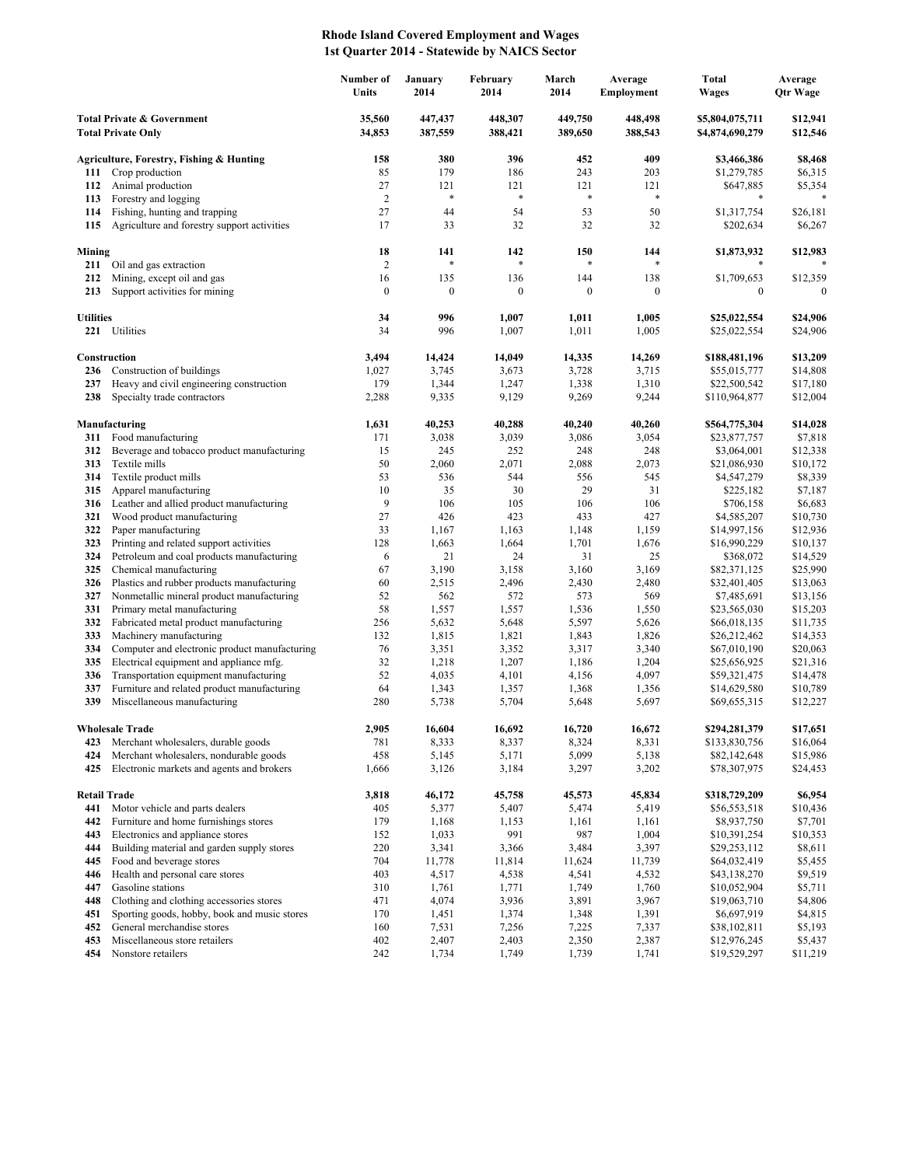## **Rhode Island Covered Employment and Wages 1st Quarter 2014 - Statewide by NAICS Sector**

|                                                                    |                                                                                          | Number of<br>Units | January<br>2014    | February<br>2014   | March<br>2014      | Average<br>Employment | <b>Total</b><br><b>Wages</b>       | Average<br><b>Qtr Wage</b> |
|--------------------------------------------------------------------|------------------------------------------------------------------------------------------|--------------------|--------------------|--------------------|--------------------|-----------------------|------------------------------------|----------------------------|
| <b>Total Private &amp; Government</b><br><b>Total Private Only</b> |                                                                                          | 35,560<br>34,853   | 447,437<br>387,559 | 448,307<br>388,421 | 449,750<br>389,650 | 448,498<br>388,543    | \$5,804,075,711<br>\$4,874,690,279 | \$12,941<br>\$12,546       |
|                                                                    | Agriculture, Forestry, Fishing & Hunting                                                 | 158                | 380                | 396                | 452                | 409                   | \$3,466,386                        | \$8,468                    |
| 111                                                                | Crop production                                                                          | 85                 | 179                | 186                | 243                | 203                   | \$1,279,785                        | \$6,315                    |
| 112                                                                | Animal production                                                                        | 27                 | 121                | 121                | 121                | 121                   | \$647,885                          | \$5,354                    |
| 113                                                                | Forestry and logging                                                                     | $\sqrt{2}$         | *                  | $\ast$             | $\ast$             | $\ast$                | *                                  |                            |
| 114                                                                | Fishing, hunting and trapping                                                            | 27                 | 44                 | 54                 | 53                 | 50                    | \$1,317,754                        | \$26,181                   |
| 115                                                                | Agriculture and forestry support activities                                              | 17                 | 33                 | 32                 | 32                 | 32                    | \$202,634                          | \$6,267                    |
| Mining                                                             |                                                                                          | 18                 | 141                | 142                | 150                | 144                   | \$1,873,932                        | \$12,983                   |
| 211                                                                | Oil and gas extraction                                                                   | $\overline{2}$     | *                  | $\ast$             | $\ast$             | *                     | *                                  |                            |
| 212                                                                | Mining, except oil and gas                                                               | 16                 | 135                | 136                | 144                | 138                   | \$1,709,653                        | \$12,359                   |
| 213                                                                | Support activities for mining                                                            | $\boldsymbol{0}$   | $\boldsymbol{0}$   | $\boldsymbol{0}$   | $\boldsymbol{0}$   | $\mathbf{0}$          | $\mathbf{0}$                       | $\Omega$                   |
| <b>Utilities</b>                                                   |                                                                                          | 34                 | 996                | 1,007              | 1,011              | 1,005                 | \$25,022,554                       | \$24,906                   |
| 221                                                                | Utilities                                                                                | 34                 | 996                | 1,007              | 1,011              | 1,005                 | \$25,022,554                       | \$24,906                   |
|                                                                    |                                                                                          |                    |                    |                    |                    |                       |                                    |                            |
|                                                                    | Construction                                                                             | 3,494              | 14,424             | 14,049             | 14,335             | 14,269                | \$188,481,196                      | \$13,209                   |
| 236                                                                | Construction of buildings                                                                | 1,027              | 3,745              | 3,673              | 3,728              | 3,715                 | \$55,015,777                       | \$14,808                   |
| 237                                                                | Heavy and civil engineering construction                                                 | 179                | 1,344              | 1,247              | 1,338              | 1,310                 | \$22,500,542                       | \$17,180                   |
| 238                                                                | Specialty trade contractors                                                              | 2,288              | 9,335              | 9,129              | 9,269              | 9,244                 | \$110,964,877                      | \$12,004                   |
|                                                                    | Manufacturing                                                                            | 1,631              | 40,253             | 40,288             | 40,240             | 40,260                | \$564,775,304                      | \$14,028                   |
| 311                                                                | Food manufacturing                                                                       | 171                | 3,038              | 3,039              | 3,086              | 3,054                 | \$23,877,757                       | \$7,818                    |
| 312                                                                | Beverage and tobacco product manufacturing                                               | 15                 | 245                | 252                | 248                | 248                   | \$3,064,001                        | \$12,338                   |
| 313                                                                | Textile mills                                                                            | 50                 | 2,060              | 2,071              | 2,088              | 2,073                 | \$21,086,930                       | \$10,172                   |
| 314                                                                | Textile product mills                                                                    | 53                 | 536                | 544                | 556                | 545                   | \$4,547,279                        | \$8,339                    |
| 315<br>316                                                         | Apparel manufacturing<br>Leather and allied product manufacturing                        | 10<br>9            | 35<br>106          | 30<br>105          | 29<br>106          | 31<br>106             | \$225,182<br>\$706,158             | \$7,187<br>\$6,683         |
| 321                                                                | Wood product manufacturing                                                               | 27                 | 426                | 423                | 433                | 427                   | \$4,585,207                        | \$10,730                   |
| 322                                                                | Paper manufacturing                                                                      | 33                 | 1,167              | 1,163              | 1,148              | 1,159                 | \$14,997,156                       | \$12,936                   |
| 323                                                                | Printing and related support activities                                                  | 128                | 1,663              | 1,664              | 1,701              | 1,676                 | \$16,990,229                       | \$10,137                   |
| 324                                                                | Petroleum and coal products manufacturing                                                | 6                  | 21                 | 24                 | 31                 | 25                    | \$368,072                          | \$14,529                   |
| 325                                                                | Chemical manufacturing                                                                   | 67                 | 3,190              | 3,158              | 3,160              | 3,169                 | \$82,371,125                       | \$25,990                   |
| 326                                                                | Plastics and rubber products manufacturing                                               | 60                 | 2,515              | 2,496              | 2,430              | 2,480                 | \$32,401,405                       | \$13,063                   |
| 327                                                                | Nonmetallic mineral product manufacturing                                                | 52                 | 562                | 572                | 573                | 569                   | \$7,485,691                        | \$13,156                   |
| 331<br>332                                                         | Primary metal manufacturing<br>Fabricated metal product manufacturing                    | 58<br>256          | 1,557<br>5,632     | 1,557<br>5,648     | 1,536<br>5,597     | 1,550<br>5,626        | \$23,565,030<br>\$66,018,135       | \$15,203<br>\$11,735       |
| 333                                                                | Machinery manufacturing                                                                  | 132                | 1,815              | 1,821              | 1,843              | 1,826                 | \$26,212,462                       | \$14,353                   |
| 334                                                                | Computer and electronic product manufacturing                                            | 76                 | 3,351              | 3,352              | 3,317              | 3,340                 | \$67,010,190                       | \$20,063                   |
| 335                                                                | Electrical equipment and appliance mfg.                                                  | 32                 | 1,218              | 1,207              | 1,186              | 1,204                 | \$25,656,925                       | \$21,316                   |
| 336                                                                | Transportation equipment manufacturing                                                   | 52                 | 4,035              | 4,101              | 4,156              | 4,097                 | \$59,321,475                       | \$14,478                   |
| 337                                                                | Furniture and related product manufacturing                                              | 64                 | 1,343              | 1,357              | 1,368              | 1,356                 | \$14,629,580                       | \$10,789                   |
| 339                                                                | Miscellaneous manufacturing                                                              | 280                | 5,738              | 5,704              | 5,648              | 5,697                 | \$69,655,315                       | \$12,227                   |
|                                                                    | <b>Wholesale Trade</b>                                                                   | 2,905              | 16.604             | 16,692             | 16.720             | 16,672                | \$294,281,379                      | \$17,651                   |
| 423                                                                | Merchant wholesalers, durable goods                                                      | 781                | 8,333              | 8,337              | 8,324              | 8,331                 | \$133,830,756                      | \$16,064                   |
| 424                                                                | Merchant wholesalers, nondurable goods                                                   | 458                | 5,145              | 5,171              | 5,099              | 5,138                 | \$82,142,648                       | \$15,986                   |
| 425                                                                | Electronic markets and agents and brokers                                                | 1,666              | 3,126              | 3,184              | 3,297              | 3,202                 | \$78,307,975                       | \$24,453                   |
|                                                                    |                                                                                          |                    |                    |                    |                    |                       |                                    |                            |
| <b>Retail Trade</b><br>441                                         | Motor vehicle and parts dealers                                                          | 3,818<br>405       | 46,172<br>5,377    | 45,758<br>5,407    | 45,573<br>5,474    | 45,834<br>5,419       | \$318,729,209<br>\$56,553,518      | \$6,954<br>\$10,436        |
| 442                                                                | Furniture and home furnishings stores                                                    | 179                | 1,168              | 1,153              | 1,161              | 1,161                 | \$8,937,750                        | \$7,701                    |
| 443                                                                | Electronics and appliance stores                                                         | 152                | 1,033              | 991                | 987                | 1,004                 | \$10,391,254                       | \$10,353                   |
| 444                                                                | Building material and garden supply stores                                               | 220                | 3,341              | 3,366              | 3,484              | 3,397                 | \$29,253,112                       | \$8,611                    |
| 445                                                                | Food and beverage stores                                                                 | 704                | 11,778             | 11,814             | 11,624             | 11,739                | \$64,032,419                       | \$5,455                    |
| 446                                                                | Health and personal care stores                                                          | 403                | 4,517              | 4,538              | 4,541              | 4,532                 | \$43,138,270                       | \$9,519                    |
| 447                                                                | Gasoline stations                                                                        | 310                | 1,761              | 1,771              | 1,749              | 1,760                 | \$10,052,904                       | \$5,711                    |
| 448<br>451                                                         | Clothing and clothing accessories stores<br>Sporting goods, hobby, book and music stores | 471<br>170         | 4,074<br>1,451     | 3,936<br>1,374     | 3,891<br>1,348     | 3,967<br>1,391        | \$19,063,710<br>\$6,697,919        | \$4,806<br>\$4,815         |
| 452                                                                | General merchandise stores                                                               | 160                | 7,531              | 7,256              | 7,225              | 7,337                 | \$38,102,811                       | \$5,193                    |
| 453                                                                | Miscellaneous store retailers                                                            | 402                | 2,407              | 2,403              | 2,350              | 2,387                 | \$12,976,245                       | \$5,437                    |
| 454                                                                | Nonstore retailers                                                                       | 242                | 1,734              | 1,749              | 1,739              | 1,741                 | \$19,529,297                       | \$11,219                   |